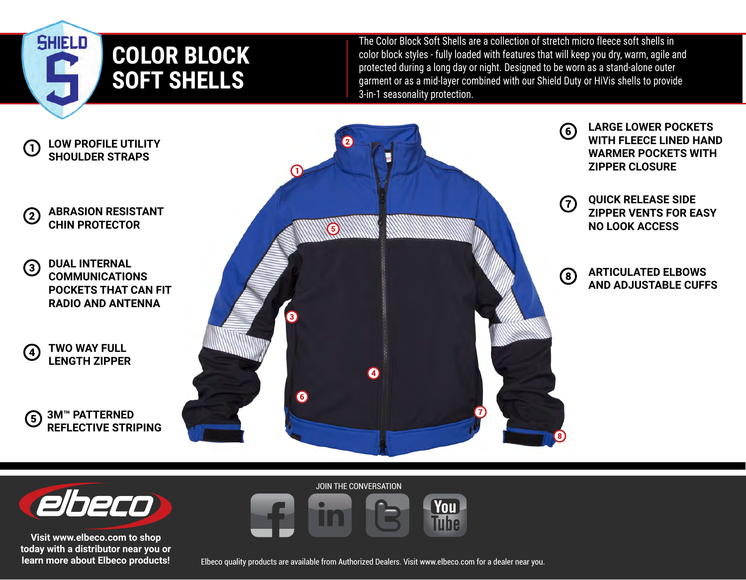

The Color Block Soft Shells are a collection of stretch micro fleece soft shells in color block styles - fully loaded with features that will keep you dry, warm, agile and protected during a long day or night. Designed to be worn as a stand-alone outer garment or as a mid-layer combined with our Shield Duty or HiVis shells to provide 3-in-1 seasonality protection.





**SHIELD** 

**Visit www.elbeco.com to shop today with a distributor near you or learn more about Elbeco products!** JOIN THE CONVERSATION



Elbeco quality products are available from Authorized Dealers. Visit www.elbeco.com for a dealer near you.